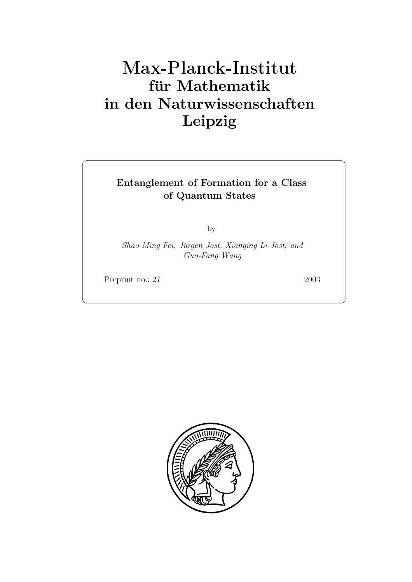# **für Mathematik in den Naturwissenschaften Leipzig**

#### **Entanglement of Formation for a Class of Quantum States**

by

*Shao-Ming Fei, J¨ urgen Jost, Xianqing Li-Jost, and Guo-Fang Wang*

Preprint no.: 27 2003

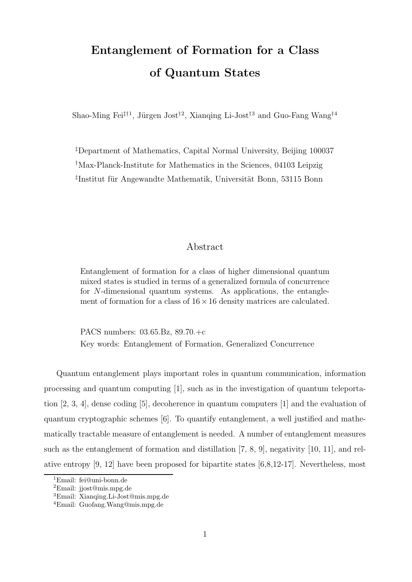## **Entanglement of Formation for a Class of Quantum States**

Shao-Ming Fei<sup> $\ddagger$ †1</sup>, Jürgen Jost<sup>†2</sup>, Xianqing Li-Jost<sup>†3</sup> and Guo-Fang Wang<sup>†4</sup>

‡ Department of Mathematics, Capital Normal University, Beijing 100037 † Max-Planck-Institute for Mathematics in the Sciences, 04103 Leipzig <sup>‡</sup>Institut für Angewandte Mathematik, Universität Bonn, 53115 Bonn

#### Abstract

Entanglement of formation for a class of higher dimensional quantum mixed states is studied in terms of a generalized formula of concurrence for N-dimensional quantum systems. As applications, the entanglement of formation for a class of  $16 \times 16$  density matrices are calculated.

PACS numbers: 03.65.Bz, 89.70.+c Key words: Entanglement of Formation, Generalized Concurrence

Quantum entanglement plays important roles in quantum communication, information processing and quantum computing [1], such as in the investigation of quantum teleportation [2, 3, 4], dense coding [5], decoherence in quantum computers [1] and the evaluation of quantum cryptographic schemes [6]. To quantify entanglement, a well justified and mathematically tractable measure of entanglement is needed. A number of entanglement measures such as the entanglement of formation and distillation [7, 8, 9], negativity [10, 11], and relative entropy [9, 12] have been proposed for bipartite states [6,8,12-17]. Nevertheless, most

<sup>1</sup>Email: fei@uni-bonn.de

<sup>2</sup>Email: jjost@mis.mpg.de

 ${}^{3}$ Email: Xianqing.Li-Jost@mis.mpg.de

<sup>4</sup>Email: Guofang.Wang@mis.mpg.de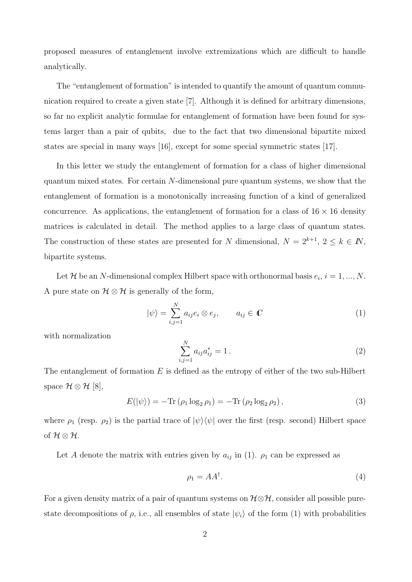proposed measures of entanglement involve extremizations which are difficult to handle analytically.

The "entanglement of formation" is intended to quantify the amount of quantum communication required to create a given state [7]. Although it is defined for arbitrary dimensions, so far no explicit analytic formulae for entanglement of formation have been found for systems larger than a pair of qubits, due to the fact that two dimensional bipartite mixed states are special in many ways [16], except for some special symmetric states [17].

In this letter we study the entanglement of formation for a class of higher dimensional quantum mixed states. For certain N-dimensional pure quantum systems, we show that the entanglement of formation is a monotonically increasing function of a kind of generalized concurrence. As applications, the entanglement of formation for a class of  $16 \times 16$  density matrices is calculated in detail. The method applies to a large class of quantum states. The construction of these states are presented for N dimensional,  $N = 2^{k+1}$ ,  $2 \le k \in \mathbb{N}$ , bipartite systems.

Let  $\mathcal H$  be an N-dimensional complex Hilbert space with orthonormal basis  $e_i$ ,  $i = 1, ..., N$ . A pure state on  $\mathcal{H} \otimes \mathcal{H}$  is generally of the form,

$$
|\psi\rangle = \sum_{i,j=1}^{N} a_{ij} e_i \otimes e_j, \qquad a_{ij} \in \mathbb{C}
$$
 (1)

with normalization

$$
\sum_{i,j=1}^{N} a_{ij} a_{ij}^* = 1.
$$
 (2)

The entanglement of formation  $E$  is defined as the entropy of either of the two sub-Hilbert space  $\mathcal{H} \otimes \mathcal{H}$  [8],

$$
E(|\psi\rangle) = -\text{Tr}(\rho_1 \log_2 \rho_1) = -\text{Tr}(\rho_2 \log_2 \rho_2), \qquad (3)
$$

where  $\rho_1$  (resp.  $\rho_2$ ) is the partial trace of  $|\psi\rangle\langle\psi|$  over the first (resp. second) Hilbert space of  $\mathcal{H}\otimes\mathcal{H}.$ 

Let A denote the matrix with entries given by  $a_{ij}$  in (1).  $\rho_1$  can be expressed as

$$
\rho_1 = AA^\dagger. \tag{4}
$$

For a given density matrix of a pair of quantum systems on  $H \otimes H$ , consider all possible purestate decompositions of  $\rho$ , i.e., all ensembles of state  $|\psi_i\rangle$  of the form (1) with probabilities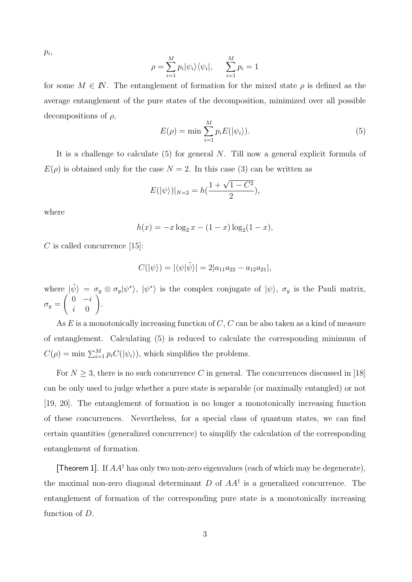$p_i$ 

$$
\rho = \sum_{i=1}^{M} p_i |\psi_i\rangle\langle\psi_i|, \qquad \sum_{i=1}^{M} p_i = 1
$$

for some  $M \in \mathbb{N}$ . The entanglement of formation for the mixed state  $\rho$  is defined as the average entanglement of the pure states of the decomposition, minimized over all possible decompositions of  $\rho$ ,

$$
E(\rho) = \min \sum_{i=1}^{M} p_i E(|\psi_i\rangle). \tag{5}
$$

It is a challenge to calculate  $(5)$  for general N. Till now a general explicit formula of  $E(\rho)$  is obtained only for the case  $N = 2$ . In this case (3) can be written as

$$
E(|\psi\rangle)|_{N=2} = h(\frac{1+\sqrt{1-C^2}}{2}),
$$

where

$$
h(x) = -x \log_2 x - (1 - x) \log_2 (1 - x),
$$

 $C$  is called concurrence [15]:

$$
C(|\psi\rangle) = |\langle \psi | \tilde{\psi} \rangle| = 2|a_{11}a_{22} - a_{12}a_{21}|,
$$

where  $|\tilde{\psi}\rangle = \sigma_y \otimes \sigma_y |\psi^*\rangle$ ,  $|\psi^*\rangle$  is the complex conjugate of  $|\psi\rangle$ ,  $\sigma_y$  is the Pauli matrix,  $\sigma_y =$  $\begin{pmatrix} 0 & -i \end{pmatrix}$ i 0  $\setminus$ .

As  $E$  is a monotonically increasing function of  $C$ ,  $C$  can be also taken as a kind of measure of entanglement. Calculating (5) is reduced to calculate the corresponding minimum of  $C(\rho) = \min \sum_{i=1}^{M} p_i C(|\psi_i\rangle)$ , which simplifies the problems.

For  $N \geq 3$ , there is no such concurrence C in general. The concurrences discussed in [18] can be only used to judge whether a pure state is separable (or maximally entangled) or not [19, 20]. The entanglement of formation is no longer a monotonically increasing function of these concurrences. Nevertheless, for a special class of quantum states, we can find certain quantities (generalized concurrence) to simplify the calculation of the corresponding entanglement of formation.

[Theorem 1]. If  $AA^{\dagger}$  has only two non-zero eigenvalues (each of which may be degenerate), the maximal non-zero diagonal determinant  $D$  of  $AA^{\dagger}$  is a generalized concurrence. The entanglement of formation of the corresponding pure state is a monotonically increasing function of D.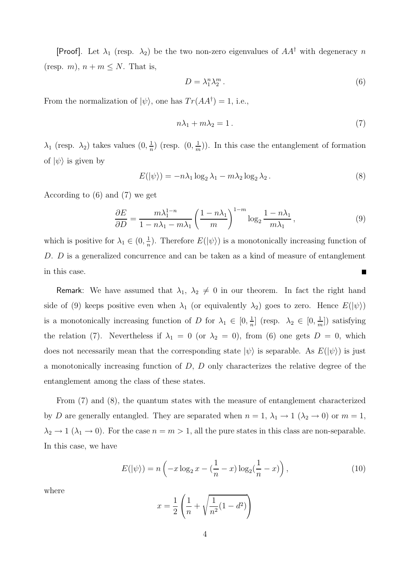[Proof]. Let  $\lambda_1$  (resp.  $\lambda_2$ ) be the two non-zero eigenvalues of  $AA^{\dagger}$  with degeneracy n (resp. m),  $n + m \leq N$ . That is,

$$
D = \lambda_1^n \lambda_2^m \,. \tag{6}
$$

From the normalization of  $|\psi\rangle$ , one has  $Tr(AA^{\dagger}) = 1$ , i.e.,

$$
n\lambda_1 + m\lambda_2 = 1.
$$
\n<sup>(7)</sup>

 $\lambda_1$  (resp.  $\lambda_2$ ) takes values  $(0, \frac{1}{n})$  (resp.  $(0, \frac{1}{n})$ ). In this case the entanglement of formation of  $|\psi\rangle$  is given by

$$
E(|\psi\rangle) = -n\lambda_1 \log_2 \lambda_1 - m\lambda_2 \log_2 \lambda_2.
$$
 (8)

According to (6) and (7) we get

$$
\frac{\partial E}{\partial D} = \frac{m\lambda_1^{1-n}}{1 - n\lambda_1 - m\lambda_1} \left(\frac{1 - n\lambda_1}{m}\right)^{1 - m} \log_2 \frac{1 - n\lambda_1}{m\lambda_1},\tag{9}
$$

which is positive for  $\lambda_1 \in (0, \frac{1}{n})$ . Therefore  $E(|\psi\rangle)$  is a monotonically increasing function of D. D is a generalized concurrence and can be taken as a kind of measure of entanglement in this case.  $\blacksquare$ 

Remark: We have assumed that  $\lambda_1$ ,  $\lambda_2 \neq 0$  in our theorem. In fact the right hand side of (9) keeps positive even when  $\lambda_1$  (or equivalently  $\lambda_2$ ) goes to zero. Hence  $E(|\psi\rangle)$ is a monotonically increasing function of D for  $\lambda_1 \in [0, \frac{1}{n}]$  (resp.  $\lambda_2 \in [0, \frac{1}{m}]$ ) satisfying the relation (7). Nevertheless if  $\lambda_1 = 0$  (or  $\lambda_2 = 0$ ), from (6) one gets  $D = 0$ , which does not necessarily mean that the corresponding state  $|\psi\rangle$  is separable. As  $E(|\psi\rangle)$  is just a monotonically increasing function of  $D$ ,  $D$  only characterizes the relative degree of the entanglement among the class of these states.

From (7) and (8), the quantum states with the measure of entanglement characterized by D are generally entangled. They are separated when  $n = 1, \lambda_1 \to 1$  ( $\lambda_2 \to 0$ ) or  $m = 1$ ,  $\lambda_2 \to 1$  ( $\lambda_1 \to 0$ ). For the case  $n = m > 1$ , all the pure states in this class are non-separable. In this case, we have

$$
E(|\psi\rangle) = n\left(-x\log_2 x - \left(\frac{1}{n} - x\right)\log_2\left(\frac{1}{n} - x\right)\right),\tag{10}
$$

where

$$
x = \frac{1}{2} \left( \frac{1}{n} + \sqrt{\frac{1}{n^2} (1 - d^2)} \right)
$$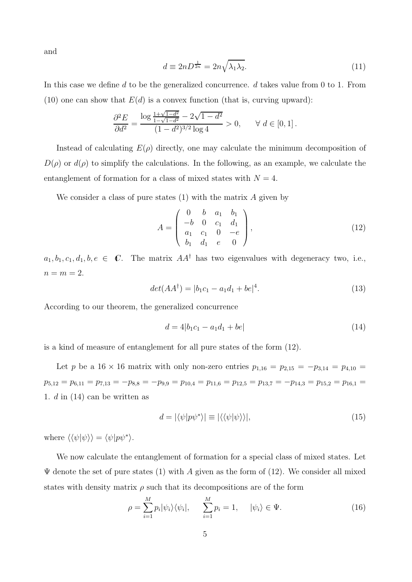and

$$
d \equiv 2nD^{\frac{1}{2n}} = 2n\sqrt{\lambda_1 \lambda_2}.
$$
\n(11)

In this case we define d to be the generalized concurrence.  $d$  takes value from 0 to 1. From (10) one can show that  $E(d)$  is a convex function (that is, curving upward):

$$
\frac{\partial^2 E}{\partial d^2} = \frac{\log \frac{1 + \sqrt{1 - d^2}}{1 - \sqrt{1 - d^2}} - 2\sqrt{1 - d^2}}{(1 - d^2)^{3/2} \log 4} > 0, \quad \forall d \in [0, 1].
$$

Instead of calculating  $E(\rho)$  directly, one may calculate the minimum decomposition of  $D(\rho)$  or  $d(\rho)$  to simplify the calculations. In the following, as an example, we calculate the entanglement of formation for a class of mixed states with  $N = 4$ .

We consider a class of pure states  $(1)$  with the matrix A given by

$$
A = \begin{pmatrix} 0 & b & a_1 & b_1 \\ -b & 0 & c_1 & d_1 \\ a_1 & c_1 & 0 & -e \\ b_1 & d_1 & e & 0 \end{pmatrix},
$$
(12)

 $a_1, b_1, c_1, d_1, b, e \in \mathbb{C}$ . The matrix  $AA^{\dagger}$  has two eigenvalues with degeneracy two, i.e.,  $n = m = 2$ .

$$
det(AA^{\dagger}) = |b_1c_1 - a_1d_1 + be|^4.
$$
 (13)

According to our theorem, the generalized concurrence

$$
d = 4|b_1c_1 - a_1d_1 + be| \tag{14}
$$

is a kind of measure of entanglement for all pure states of the form (12).

Let p be a 16 × 16 matrix with only non-zero entries  $p_{1,16} = p_{2,15} = -p_{3,14} = p_{4,10} =$  $p_{5,12} = p_{6,11} = p_{7,13} = -p_{8,8} = -p_{9,9} = p_{10,4} = p_{11,6} = p_{12,5} = p_{13,7} = -p_{14,3} = p_{15,2} = p_{16,1} =$ 1. d in (14) can be written as

$$
d = |\langle \psi | p \psi^* \rangle| \equiv |\langle \langle \psi | \psi \rangle \rangle|,\tag{15}
$$

where  $\langle \langle \psi | \psi \rangle \rangle = \langle \psi | p \psi^* \rangle$ .

We now calculate the entanglement of formation for a special class of mixed states. Let  $\Psi$  denote the set of pure states (1) with A given as the form of (12). We consider all mixed states with density matrix  $\rho$  such that its decompositions are of the form

$$
\rho = \sum_{i=1}^{M} p_i |\psi_i\rangle \langle \psi_i|, \qquad \sum_{i=1}^{M} p_i = 1, \qquad |\psi_i\rangle \in \Psi. \tag{16}
$$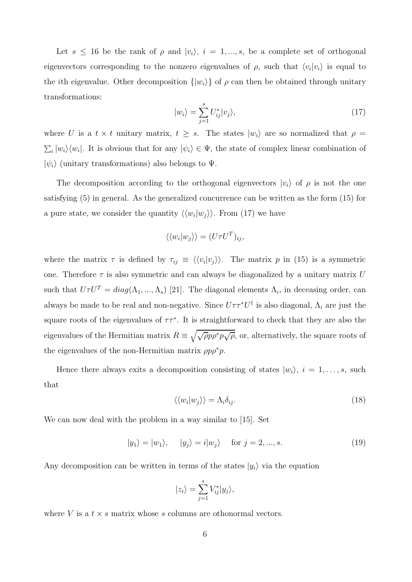Let  $s \leq 16$  be the rank of  $\rho$  and  $|v_i\rangle$ ,  $i = 1, ..., s$ , be a complete set of orthogonal eigenvectors corresponding to the nonzero eigenvalues of  $\rho$ , such that  $\langle v_i | v_i \rangle$  is equal to the *i*th eigenvalue. Other decomposition  $\{|w_i\rangle\}$  of  $\rho$  can then be obtained through unitary transformations:

$$
|w_i\rangle = \sum_{j=1}^{s} U_{ij}^* |v_j\rangle, \qquad (17)
$$

where U is a  $t \times t$  unitary matrix,  $t \geq s$ . The states  $|w_i\rangle$  are so normalized that  $\rho =$  $\sum_i |w_i\rangle\langle w_i|$ . It is obvious that for any  $|\psi_i\rangle \in \Psi$ , the state of complex linear combination of  $|\psi_i\rangle$  (unitary transformations) also belongs to  $\Psi$ .

The decomposition according to the orthogonal eigenvectors  $|v_i\rangle$  of  $\rho$  is not the one satisfying (5) in general. As the generalized concurrence can be written as the form (15) for a pure state, we consider the quantity  $\langle \langle w_i|w_j \rangle \rangle$ . From (17) we have

$$
\langle \langle w_i | w_j \rangle \rangle = (U \tau U^T)_{ij},
$$

where the matrix  $\tau$  is defined by  $\tau_{ij} \equiv \langle \langle v_i | v_j \rangle \rangle$ . The matrix p in (15) is a symmetric one. Therefore  $\tau$  is also symmetric and can always be diagonalized by a unitary matrix U such that  $U\tau U^T = diag(\Lambda_1, ..., \Lambda_s)$  [21]. The diagonal elements  $\Lambda_i$ , in deceasing order, can always be made to be real and non-negative. Since  $U\tau\tau^*U^{\dagger}$  is also diagonal,  $\Lambda_i$  are just the square roots of the eigenvalues of  $\tau \tau^*$ . It is straightforward to check that they are also the eigenvalues of the Hermitian matrix  $R \equiv \sqrt{\sqrt{\rho}p\rho^*p\sqrt{\rho}}$ , or, alternatively, the square roots of the eigenvalues of the non-Hermitian matrix  $\rho p \rho^* p$ .

Hence there always exits a decomposition consisting of states  $|w_i\rangle$ ,  $i = 1, \ldots, s$ , such that

$$
\langle \langle w_i | w_j \rangle \rangle = \Lambda_i \delta_{ij}.\tag{18}
$$

We can now deal with the problem in a way similar to [15]. Set

$$
|y_1\rangle = |w_1\rangle, \quad |y_j\rangle = i|w_j\rangle \quad \text{for } j = 2, ..., s. \tag{19}
$$

Any decomposition can be written in terms of the states  $|y_i\rangle$  via the equation

$$
|z_i\rangle = \sum_{j=1}^s V_{ij}^* |y_j\rangle,
$$

where V is a  $t \times s$  matrix whose s columns are othonormal vectors.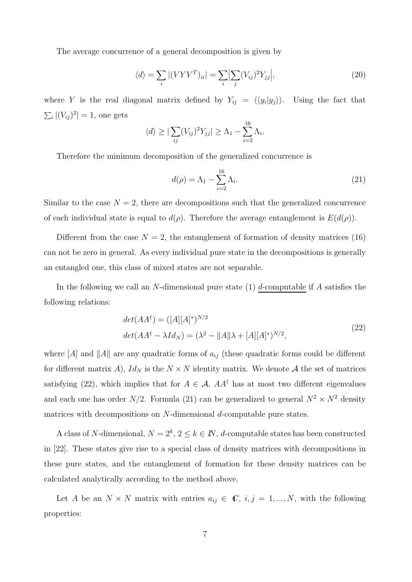The average concurrence of a general decomposition is given by

$$
\langle d \rangle = \sum_{i} |(V V V^{T})_{ii}| = \sum_{i} \left| \sum_{j} (V_{ij})^{2} Y_{jj} \right|, \tag{20}
$$

where Y is the real diagonal matrix defined by  $Y_{ij} = \langle \langle y_i | y_j \rangle \rangle$ . Using the fact that  $\sum_i |(V_{ij})^2| = 1$ , one gets

$$
\langle d \rangle \geq |\sum_{ij} (V_{ij})^2 Y_{jj}| \geq \Lambda_1 - \sum_{i=2}^{16} \Lambda_i.
$$

Therefore the minimum decomposition of the generalized concurrence is

$$
d(\rho) = \Lambda_1 - \sum_{i=2}^{16} \Lambda_i.
$$
 (21)

Similar to the case  $N = 2$ , there are decompositions such that the generalized concurrence of each individual state is equal to  $d(\rho)$ . Therefore the average entanglement is  $E(d(\rho))$ .

Different from the case  $N = 2$ , the entanglement of formation of density matrices (16) can not be zero in general. As every individual pure state in the decompositions is generally an entangled one, this class of mixed states are not separable.

In the following we call an N-dimensional pure state  $(1)$  d-computable if A satisfies the following relations:

$$
det(AA^{\dagger}) = ([A][A]^*)^{N/2}
$$
  

$$
det(AA^{\dagger} - \lambda Id_N) = (\lambda^2 - ||A||\lambda + [A][A]^*)^{N/2},
$$
\n(22)

where  $[A]$  and  $||A||$  are any quadratic forms of  $a_{ij}$  (these quadratic forms could be different for different matrix A),  $Id_N$  is the  $N \times N$  identity matrix. We denote A the set of matrices satisfying (22), which implies that for  $A \in \mathcal{A}$ ,  $AA^{\dagger}$  has at most two different eigenvalues and each one has order  $N/2$ . Formula (21) can be generalized to general  $N^2 \times N^2$  density matrices with decompositions on  $N$ -dimensional  $d$ -computable pure states.

A class of N-dimensional,  $N = 2^k$ ,  $2 \le k \in \mathbb{N}$ , *d*-computable states has been constructed in [22]. These states give rise to a special class of density matrices with decompositions in these pure states, and the entanglement of formation for these density matrices can be calculated analytically according to the method above.

Let A be an  $N \times N$  matrix with entries  $a_{ij} \in \mathbb{C}$ ,  $i, j = 1, ..., N$ , with the following properties: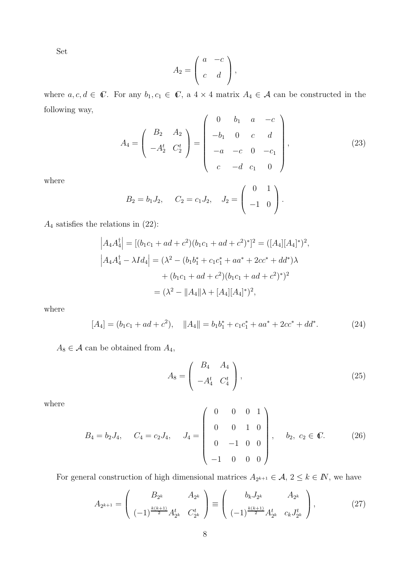Set

$$
A_2 = \left(\begin{array}{cc} a & -c \\ c & d \end{array}\right),
$$

where  $a, c, d \in \mathbb{C}$ . For any  $b_1, c_1 \in \mathbb{C}$ , a  $4 \times 4$  matrix  $A_4 \in \mathcal{A}$  can be constructed in the following way,  $\Delta$ 

$$
A_4 = \begin{pmatrix} B_2 & A_2 \\ -A_2^t & C_2^t \end{pmatrix} = \begin{pmatrix} 0 & b_1 & a & -c \\ -b_1 & 0 & c & d \\ -a & -c & 0 & -c_1 \\ c & -d & c_1 & 0 \end{pmatrix},
$$
(23)

where

$$
B_2 = b_1 J_2
$$
,  $C_2 = c_1 J_2$ ,  $J_2 = \begin{pmatrix} 0 & 1 \\ -1 & 0 \end{pmatrix}$ .

 ${\cal A}_4$  satisfies the relations in (22):

$$
\begin{aligned}\n\left| A_4 A_4^{\dagger} \right| &= \left[ (b_1 c_1 + ad + c^2)(b_1 c_1 + ad + c^2)^* \right]^2 = \left( [A_4] [A_4]^* \right)^2, \\
\left| A_4 A_4^{\dagger} - \lambda I d_4 \right| &= \left( \lambda^2 - (b_1 b_1^* + c_1 c_1^* + aa^* + 2cc^* + dd^*) \lambda \\
&\quad + (b_1 c_1 + ad + c^2)(b_1 c_1 + ad + c^2)^* \right)^2 \\
&= \left( \lambda^2 - \|A_4\| \lambda + [A_4] [A_4]^* \right)^2,\n\end{aligned}
$$

where

$$
[A_4] = (b_1c_1 + ad + c^2), \quad ||A_4|| = b_1b_1^* + c_1c_1^* + aa^* + 2cc^* + dd^*.
$$
 (24)

 $A_8\in\mathcal{A}$  can be obtained from  $A_4,$ 

$$
A_8 = \left(\begin{array}{cc} B_4 & A_4 \\ -A_4^t & C_4^t \end{array}\right),\tag{25}
$$

where

$$
B_4 = b_2 J_4, \quad C_4 = c_2 J_4, \quad J_4 = \begin{pmatrix} 0 & 0 & 0 & 1 \\ 0 & 0 & 1 & 0 \\ 0 & -1 & 0 & 0 \\ -1 & 0 & 0 & 0 \end{pmatrix}, \quad b_2, c_2 \in \mathbb{C}.
$$
 (26)

For general construction of high dimensional matrices  $A_{2^{k+1}} \in \mathcal{A}, 2 \leq k \in \mathbb{N}$ , we have

$$
A_{2^{k+1}} = \begin{pmatrix} B_{2^k} & A_{2^k} \ (-1)^{\frac{k(k+1)}{2}} A_{2^k}^t & C_{2^k}^t \end{pmatrix} \equiv \begin{pmatrix} b_k J_{2^k} & A_{2^k} \ (-1)^{\frac{k(k+1)}{2}} A_{2^k}^t & c_k J_{2^k}^t \end{pmatrix},
$$
(27)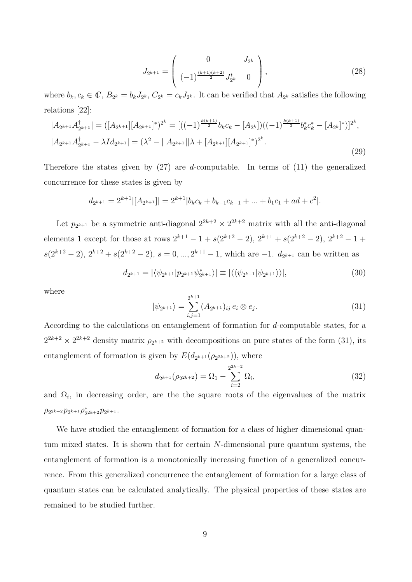$$
J_{2^{k+1}} = \begin{pmatrix} 0 & J_{2^k} \\ (-1)^{\frac{(k+1)(k+2)}{2}} J_{2^k}^t & 0 \end{pmatrix},
$$
 (28)

where  $b_k, c_k \in \mathbb{C}, B_{2^k} = b_k J_{2^k}, C_{2^k} = c_k J_{2^k}$ . It can be verified that  $A_{2^k}$  satisfies the following relations [22]:

$$
|A_{2^{k+1}}A_{2^{k+1}}^{\dagger}| = ([A_{2^{k+1}}][A_{2^{k+1}}]^*)^{2^k} = [((-1)^{\frac{k(k+1)}{2}}b_kc_k - [A_{2^k}])((-1)^{\frac{k(k+1)}{2}}b_k^*c_k^* - [A_{2^k}]^*)]^{2^k},
$$
  

$$
|A_{2^{k+1}}A_{2^{k+1}}^{\dagger} - \lambda Id_{2^{k+1}}| = (\lambda^2 - ||A_{2^{k+1}}||\lambda + [A_{2^{k+1}}][A_{2^{k+1}}]^*)^{2^k}.
$$
  
(29)

Therefore the states given by  $(27)$  are *d*-computable. In terms of  $(11)$  the generalized concurrence for these states is given by

$$
d_{2^{k+1}} = 2^{k+1} |[A_{2^{k+1}}]| = 2^{k+1} |b_k c_k + b_{k-1} c_{k-1} + \dots + b_1 c_1 + ad + c^2|.
$$

Let  $p_{2^{k+1}}$  be a symmetric anti-diagonal  $2^{2k+2} \times 2^{2k+2}$  matrix with all the anti-diagonal elements 1 except for those at rows  $2^{k+1} - 1 + s(2^{k+2} - 2), 2^{k+1} + s(2^{k+2} - 2), 2^{k+2} - 1 +$  $s(2^{k+2}-2), 2^{k+2}+s(2^{k+2}-2), s=0, ..., 2^{k+1}-1$ , which are  $-1$ .  $d_{2^{k+1}}$  can be written as

$$
d_{2^{k+1}} = |\langle \psi_{2^{k+1}} | p_{2^{k+1}} \psi_{2^{k+1}}^* \rangle| \equiv |\langle \langle \psi_{2^{k+1}} | \psi_{2^{k+1}} \rangle \rangle|, \tag{30}
$$

where

$$
|\psi_{2^{k+1}}\rangle = \sum_{i,j=1}^{2^{k+1}} (A_{2^{k+1}})_{ij} e_i \otimes e_j.
$$
 (31)

According to the calculations on entanglement of formation for d-computable states, for a  $2^{2k+2} \times 2^{2k+2}$  density matrix  $\rho_{2^{k+2}}$  with decompositions on pure states of the form (31), its entanglement of formation is given by  $E(d_{2^{k+1}}(\rho_{2^{2k+2}}))$ , where

$$
d_{2^{k+1}}(\rho_{2^{2k+2}}) = \Omega_1 - \sum_{i=2}^{2^{2k+2}} \Omega_i,
$$
\n(32)

and  $\Omega_i$ , in decreasing order, are the the square roots of the eigenvalues of the matrix  $\rho_{2^{2k+2}} p_{2^{k+1}} \rho_{2^{2k+2}}^* p_{2^{k+1}}.$ 

We have studied the entanglement of formation for a class of higher dimensional quantum mixed states. It is shown that for certain N-dimensional pure quantum systems, the entanglement of formation is a monotonically increasing function of a generalized concurrence. From this generalized concurrence the entanglement of formation for a large class of quantum states can be calculated analytically. The physical properties of these states are remained to be studied further.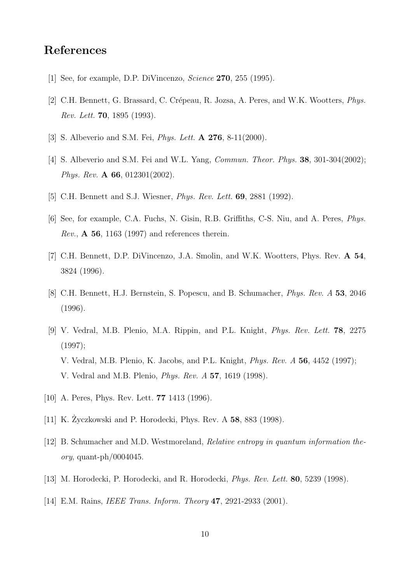### **References**

- [1] See, for example, D.P. DiVincenzo, *Science* **270**, 255 (1995).
- [2] C.H. Bennett, G. Brassard, C. Crépeau, R. Jozsa, A. Peres, and W.K. Wootters, *Phys. Rev. Lett.* **70**, 1895 (1993).
- [3] S. Albeverio and S.M. Fei, *Phys. Lett.* **A 276**, 8-11(2000).
- [4] S. Albeverio and S.M. Fei and W.L. Yang, *Commun. Theor. Phys.* **38**, 301-304(2002); *Phys. Rev.* **A 66**, 012301(2002).
- [5] C.H. Bennett and S.J. Wiesner, *Phys. Rev. Lett.* **69**, 2881 (1992).
- [6] See, for example, C.A. Fuchs, N. Gisin, R.B. Griffiths, C-S. Niu, and A. Peres, *Phys. Rev.*, **A 56**, 1163 (1997) and references therein.
- [7] C.H. Bennett, D.P. DiVincenzo, J.A. Smolin, and W.K. Wootters, Phys. Rev. **A 54**, 3824 (1996).
- [8] C.H. Bennett, H.J. Bernstein, S. Popescu, and B. Schumacher, *Phys. Rev. A* **53**, 2046 (1996).
- [9] V. Vedral, M.B. Plenio, M.A. Rippin, and P.L. Knight, *Phys. Rev. Lett.* **78**, 2275 (1997); V. Vedral, M.B. Plenio, K. Jacobs, and P.L. Knight, *Phys. Rev. A* **56**, 4452 (1997); V. Vedral and M.B. Plenio, *Phys. Rev. A* **57**, 1619 (1998).
- [10] A. Peres, Phys. Rev. Lett. **77** 1413 (1996).
- [11] K. Zyczkowski and P. Horodecki, Phys. Rev. A ˙ **58**, 883 (1998).
- [12] B. Schumacher and M.D. Westmoreland, *Relative entropy in quantum information theory*, quant-ph/0004045.
- [13] M. Horodecki, P. Horodecki, and R. Horodecki, *Phys. Rev. Lett.* **80**, 5239 (1998).
- [14] E.M. Rains, *IEEE Trans. Inform. Theory* **47**, 2921-2933 (2001).